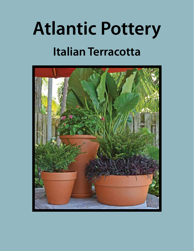# **Atlantic Pottery Italian Terracotta**

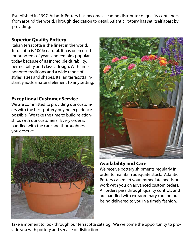Established in 1997, Atlantic Pottery has become a leading distributor of quality containers from around the world. Through dedication to detail, Atlantic Pottery has set itself apart by providing:

### **Superior Quality Pottery**

Italian terracotta is the finest in the world. Terracotta is 100% natural. It has been used for hundreds of years and remains popular today because of its incredible durability, permeability and classic design. With timehonored traditions and a wide range of styles, sizes and shapes, Italian terracotta instantly adds a natural element to any setting.

### **Exceptional Customer Service**

We are committed to providing our customers with the best pottery buying experience possible. We take the time to build relationships with our customers. Every order is handled with the care and thoroughness you deserve.





#### **Availability and Care**

We receive pottery shipments regularly in order to maintain adequate stock. Atlantic Pottery can meet your immediate needs or work with you on advanced custom orders. All orders pass through quality controls and are handled with extraordinary care before being delivered to you in a timely fashion.

Take a moment to look through our terracotta catalog. We welcome the opportunity to provide you with pottery and service of distinction.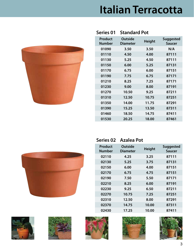

| Series 01                       | <b>Standard Pot</b>               |               |                            |
|---------------------------------|-----------------------------------|---------------|----------------------------|
| <b>Product</b><br><b>Number</b> | <b>Outside</b><br><b>Diameter</b> | <b>Height</b> | <b>Suggested</b><br>Saucer |
| 01090                           | 3.50                              | 3.50          | N/A                        |
| 01110                           | 4.50                              | 4.00          | 87111                      |
| 01130                           | 5.25                              | 4.50          | 87111                      |
| 01150                           | 6.00                              | 5.25          | 87131                      |
| 01170                           | 6.75                              | 6.00          | 87151                      |
| 01190                           | 7.75                              | 6.75          | 87171                      |
| 01210                           | 8.25                              | 7.25          | 87171                      |
| 01230                           | 9.00                              | 8.00          | 87191                      |
| 01270                           | 10.50                             | 9.25          | 87211                      |
| 01310                           | 12.50                             | 10.75         | 87251                      |
| 01350                           | 14.00                             | 11.75         | 87291                      |
| 01390                           | 15.25                             | 13.50         | 87311                      |
| 01460                           | 18.50                             | 14.75         | 87411                      |
| 01530                           | 20.25                             | 18.00         | 87461                      |
|                                 |                                   |               |                            |



#### **Series 02 Azalea Pot**

| Product<br><b>Number</b> | <b>Outside</b><br>Diameter | <b>Height</b> | <b>Suggested</b><br>Saucer |
|--------------------------|----------------------------|---------------|----------------------------|
| 02110                    | 4.25                       | 3.25          | 87111                      |
| 02130                    | 5.25                       | 3.75          | 87131                      |
| 02150                    | 6.00                       | 4.00          | 87151                      |
| 02170                    | 6.75                       | 4.75          | 87151                      |
| 02190                    | 7.50                       | 5.50          | 87171                      |
| 02210                    | 8.25                       | 6.00          | 87191                      |
| 02230                    | 9.25                       | 6.50          | 87211                      |
| 02270                    | 10.75                      | 7.25          | 87251                      |
| 02310                    | 12.50                      | 8.00          | 87291                      |
| 02370                    | 14.75                      | 10.00         | 87311                      |
| 02430                    | 17.25                      | 10.00         | 87411                      |









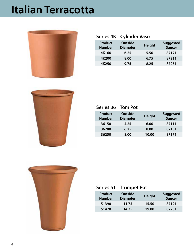

|                                 | Series 4K Cylinder Vaso           |               |                                   |
|---------------------------------|-----------------------------------|---------------|-----------------------------------|
| <b>Product</b><br><b>Number</b> | <b>Outside</b><br><b>Diameter</b> | <b>Height</b> | <b>Suggested</b><br><b>Saucer</b> |
| 4K160                           | 6.25                              | 5.50          | 87171                             |
| 4K200                           | 8.00                              | 6.75          | 87211                             |
| 4K250                           | 9.75                              | 8.25          | 87251                             |



#### **Series 36 Tom Pot**

| <b>Product</b><br><b>Number</b> | <b>Outside</b><br><b>Diameter</b> | <b>Height</b> | <b>Suggested</b><br><b>Saucer</b> |
|---------------------------------|-----------------------------------|---------------|-----------------------------------|
| 36150                           | 4.25                              | 6.00          | 87111                             |
| 36200                           | 6.25                              | 8.00          | 87151                             |
| 36250                           | 8.00                              | 10.00         | 87171                             |



#### **Series 51 Trumpet Pot**

| <b>Product</b><br><b>Number</b> | <b>Outside</b><br><b>Diameter</b> | <b>Height</b> | <b>Suggested</b><br><b>Saucer</b> |
|---------------------------------|-----------------------------------|---------------|-----------------------------------|
| 51390                           | 11.75                             | 15.50         | 87191                             |
| 51470                           | 14.75                             | 19.00         | 87231                             |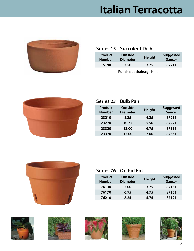

|                                 | <b>Series 15 Succulent Dish</b>   |               |                                   |
|---------------------------------|-----------------------------------|---------------|-----------------------------------|
| <b>Product</b><br><b>Number</b> | <b>Outside</b><br><b>Diameter</b> | <b>Height</b> | <b>Suggested</b><br><b>Saucer</b> |
| 15190                           | 7.50                              | 3.75          | 87211                             |

**Punch out drainage hole.**



#### **Series 23 Bulb Pan**

| <b>Product</b><br><b>Number</b> | <b>Outside</b><br><b>Diameter</b> | <b>Height</b> | <b>Suggested</b><br><b>Saucer</b> |
|---------------------------------|-----------------------------------|---------------|-----------------------------------|
| 23210                           | 8.25                              | 4.25          | 87211                             |
| 23270                           | 10.75                             | 5.50          | 87271                             |
| 23320                           | 13.00                             | 6.75          | 87311                             |
| 23370                           | 15.00                             | 7.00          | 87361                             |













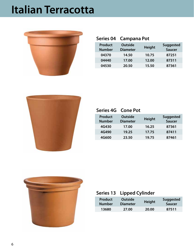

|                                 | Series 04 Campana Pot             |        |                                   |
|---------------------------------|-----------------------------------|--------|-----------------------------------|
| <b>Product</b><br><b>Number</b> | <b>Outside</b><br><b>Diameter</b> | Height | <b>Suggested</b><br><b>Saucer</b> |
| 04370                           | 14.50                             | 10.75  | 87251                             |
| 04440                           | 17.00                             | 12.00  | 87311                             |
| 04530                           | 20.50                             | 15.50  | 87361                             |



|                                 | Series 4G Cone Pot                |               |                                   |
|---------------------------------|-----------------------------------|---------------|-----------------------------------|
| <b>Product</b><br><b>Number</b> | <b>Outside</b><br><b>Diameter</b> | <b>Height</b> | <b>Suggested</b><br><b>Saucer</b> |
| 4G430                           | 17.00                             | 16.25         | 87361                             |
| 4G490                           | 19.25                             | 17.75         | 87411                             |
| 4G600                           | 23.50                             | 19.75         | 87461                             |
|                                 |                                   |               |                                   |



### **Series 13 Lipped Cylinder**

| <b>Product</b> | <b>Outside</b>  | <b>Height</b> | <b>Suggested</b> |
|----------------|-----------------|---------------|------------------|
| <b>Number</b>  | <b>Diameter</b> |               | <b>Saucer</b>    |
| 13680          | 27.00           | 20.00         | 87511            |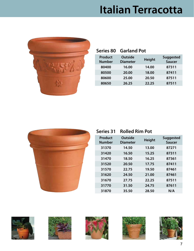

| Series 80                       | <b>Garland Pot</b>                |               |                                   |
|---------------------------------|-----------------------------------|---------------|-----------------------------------|
| <b>Product</b><br><b>Number</b> | <b>Outside</b><br><b>Diameter</b> | <b>Height</b> | <b>Suggested</b><br><b>Saucer</b> |
| 80400                           | 16.00                             | 14.00         | 87311                             |
| 80500                           | 20.00                             | 18.00         | 87411                             |
| 80600                           | 25.00                             | 20.50         | 87511                             |
| 80650                           | 26.25                             | 22.25         | 87511                             |



| <b>Series 31</b>                | <b>Rolled Rim Pot</b>             |               |                                   |  |
|---------------------------------|-----------------------------------|---------------|-----------------------------------|--|
| <b>Product</b><br><b>Number</b> | <b>Outside</b><br><b>Diameter</b> | <b>Height</b> | <b>Suggested</b><br><b>Saucer</b> |  |
| 31370                           | 14.50                             | 13.00         | 87271                             |  |
| 31420                           | 16.50                             | 15.25         | 87311                             |  |
| 31470                           | 18.50                             | 16.25         | 87361                             |  |
| 31520                           | 20.50                             | 17.75         | 87411                             |  |
| 31570                           | 22.75                             | 19.50         | 87461                             |  |
| 31620                           | 24.50                             | 21.00         | 87461                             |  |
| 31670                           | 27.75                             | 22.25         | 87511                             |  |
| 31770                           | 31.50                             | 24.75         | 87611                             |  |
| 31870                           | 35.50                             | 28.50         | N/A                               |  |
|                                 |                                   |               |                                   |  |









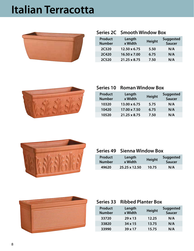

| <b>Product</b><br><b>Number</b> | Length<br>x Width | <b>Height</b> | <b>Suggested</b><br><b>Saucer</b> |
|---------------------------------|-------------------|---------------|-----------------------------------|
| <b>2C320</b>                    | 12.50 x 6.75      | 5.50          | N/A                               |
| 2C420                           | 16.50 x 7.00      | 6.75          | N/A                               |
| 2C520                           | 21.25 x 8.75      | 7.50          | N/A                               |

**Series 2C Smooth Window Box**



| Series 10                       | <b>Roman Window Box</b> |               |                                   |
|---------------------------------|-------------------------|---------------|-----------------------------------|
| <b>Product</b><br><b>Number</b> | Length<br>x Width       | <b>Height</b> | <b>Suggested</b><br><b>Saucer</b> |
| 10320                           | 13.00 x 6.75            | 5.75          | N/A                               |
| 10420                           | 17.00 x 7.50            | 6.75          | N/A                               |
| 10520                           | 21.25 x 8.75            | 7.50          | N/A                               |



|  |  | Series 49 Sienna Window Box |
|--|--|-----------------------------|
|--|--|-----------------------------|

| <b>Product</b> | Length        | Height | <b>Suggested</b> |
|----------------|---------------|--------|------------------|
| <b>Number</b>  | x Width       |        | <b>Saucer</b>    |
| 49620          | 25.25 x 12.50 | 10.75  | N/A              |



| Series 33                       | <b>Ribbed Planter Box</b> |               |                                   |
|---------------------------------|---------------------------|---------------|-----------------------------------|
| <b>Product</b><br><b>Number</b> | Length<br>x Width         | <b>Height</b> | <b>Suggested</b><br><b>Saucer</b> |
| 33720                           | 29x13                     | 12.25         | N/A                               |
| 33820                           | $34 \times 15$            | 13.75         | N/A                               |
| 33990                           | $39 \times 17$            | 15.75         | N/A                               |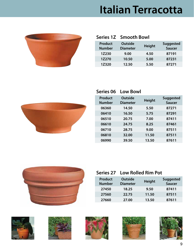

|                                 | Series 1Z Smooth Bowl             |               |                                   |
|---------------------------------|-----------------------------------|---------------|-----------------------------------|
| <b>Product</b><br><b>Number</b> | <b>Outside</b><br><b>Diameter</b> | <b>Height</b> | <b>Suggested</b><br><b>Saucer</b> |
| 1Z230                           | 9.00                              | 4.50          | 87191                             |
| 1Z270                           | 10.50                             | 5.00          | 87231                             |
| 1Z320                           | 12.50                             | 5.50          | 87271                             |



| Series 06                       | <b>Low Bowl</b>                   |               |                                   |
|---------------------------------|-----------------------------------|---------------|-----------------------------------|
| <b>Product</b><br><b>Number</b> | <b>Outside</b><br><b>Diameter</b> | <b>Height</b> | <b>Suggested</b><br><b>Saucer</b> |
| 06360                           | 14.50                             | 5.50          | 87271                             |
| 06410                           | 16.50                             | 5.75          | 87291                             |
| 06510                           | 20.75                             | 7.00          | 87411                             |
| 06610                           | 24.75                             | 8.25          | 87461                             |
| 06710                           | 28.75                             | 9.00          | 87511                             |
| 06810                           | 32.00                             | 11.50         | 87511                             |
| 06990                           | 39.50                             | 13.50         | 87611                             |
|                                 |                                   |               |                                   |



|                                 | <b>Series 27 Low Rolled Rim Pot</b> |               |                                   |
|---------------------------------|-------------------------------------|---------------|-----------------------------------|
| <b>Product</b><br><b>Number</b> | <b>Outside</b><br><b>Diameter</b>   | <b>Height</b> | <b>Suggested</b><br><b>Saucer</b> |
| 27450                           | 18.25                               | 9.50          | 87411                             |
| 27560                           | 22.75                               | 11.50         | 87511                             |
| 27660                           | 27.00                               | 13.50         | 87611                             |









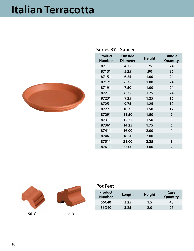

| Series 87                       | Saucer                            |               |                           |
|---------------------------------|-----------------------------------|---------------|---------------------------|
| <b>Product</b><br><b>Number</b> | <b>Outside</b><br><b>Diameter</b> | <b>Height</b> | <b>Bundle</b><br>Quantity |
| 87111                           | 4.25                              | .75           | 24                        |
| 87131                           | 5.25                              | .90           | 36                        |
| 87151                           | 6.25                              | 1.00          | 24                        |
| 87171                           | 6.75                              | 1.00          | 24                        |
| 87191                           | 7.50                              | 1.00          | 24                        |
| 87211                           | 8.25                              | 1.25          | 24                        |
| 87231                           | 9.25                              | 1.25          | 16                        |
| 87251                           | 9.75                              | 1.25          | 12                        |
| 87271                           | 10.75                             | 1.50          | 12                        |
| 87291                           | 11.50                             | 1.50          | 9                         |
| 87311                           | 12.25                             | 1.50          | 8                         |
| 87361                           | 14.25                             | 1.75          | 6                         |
| 87411                           | 16.00                             | 2.00          | 4                         |
| 87461                           | 18.50                             | 2.00          | 3                         |
| 87511                           | 21.00                             | 2.25          | 3                         |
| 87611                           | 25.00                             | 3.00          | $\overline{2}$            |
|                                 |                                   |               |                           |





#### **Pot Feet**

| <b>Product</b><br><b>Number</b> | Length | <b>Height</b> | Case<br>Quantity |
|---------------------------------|--------|---------------|------------------|
| 56C40                           | 3.25   | 1.5           | 48               |
| 56D40                           | 3.25   | 2.0           | 27               |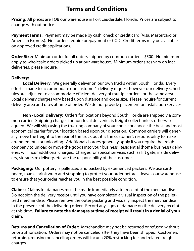### **Terms and Conditions**

**Pricing:** All prices are FOB our warehouse in Fort Lauderdale, Florida. Prices are subject to change with out notice.

**Payment Terms:** Payment may be made by cash, check or credit card (Visa, Mastercard or American Express). First orders require prepayment or COD. Credit terms may be available on approved credit applications.

**Order Size:** Minimum order for all orders shipped by common carrier is \$500. No minimums apply to wholesale orders picked up at our warehouse. Minimum order sizes vary on local deliveries, please inquire.

#### **Delivery:**

**Local Delivery**: We generally deliver on our own trucks within South Florida. Every effort is made to accommodate our customer's delivery request however our delivery schedules are adjusted to accommodate efficient delivery of multiple orders for the same area. Local delivery charges vary based upon distance and order size. Please inquire for current delivery area and rates at time of order. We do not provide placement or installation services.

**Non - Local Delivery:** Orders for locations beyond South Florida are shipped via common carrier. Shipping charges for non-local deliveries is freight collect unless otherwise agreed. We will ship using the trucking company of your choice or choose the best and most economical carrier for your location based upon our discretion. Common carriers will generally move the freight to the rear of the truck but it is the customer's responsibility to make arrangements for unloading. Additional charges generally apply if you require the freight company to unload or move the goods into your business. Residential (home business) deliveries will incur additional charges. Charges for special services such as lift gate, inside delivery, storage, re delivery, etc. are the responsibility of the customer.

**Packaging:** Our pottery is palletized and packed by experienced packers. We use cardboard, foam, shrink wrap and strapping to protect your order before it leaves our warehouse to ensure that your order reaches you in the best possible condition.

**Claims:** Claims for damages must be made immediately after receipt of the merchandise. Do not sign the delivery receipt until you have completed a visual inspection of the palletized merchandise. Please remove the outer packing and visually inspect the merchandise in the presence of the delivering driver. Record any signs of damage on the delivery receipt at this time. **Failure to note the damages at time of receipt will result in a denial of your claim.**

**Returns and Cancellation of Order:** Merchandise may not be returned or refused without prior authorization. Orders may not be canceled after they have been shipped. Customers returning, refusing or canceling orders will incur a 20% restocking fee and related freight charges.